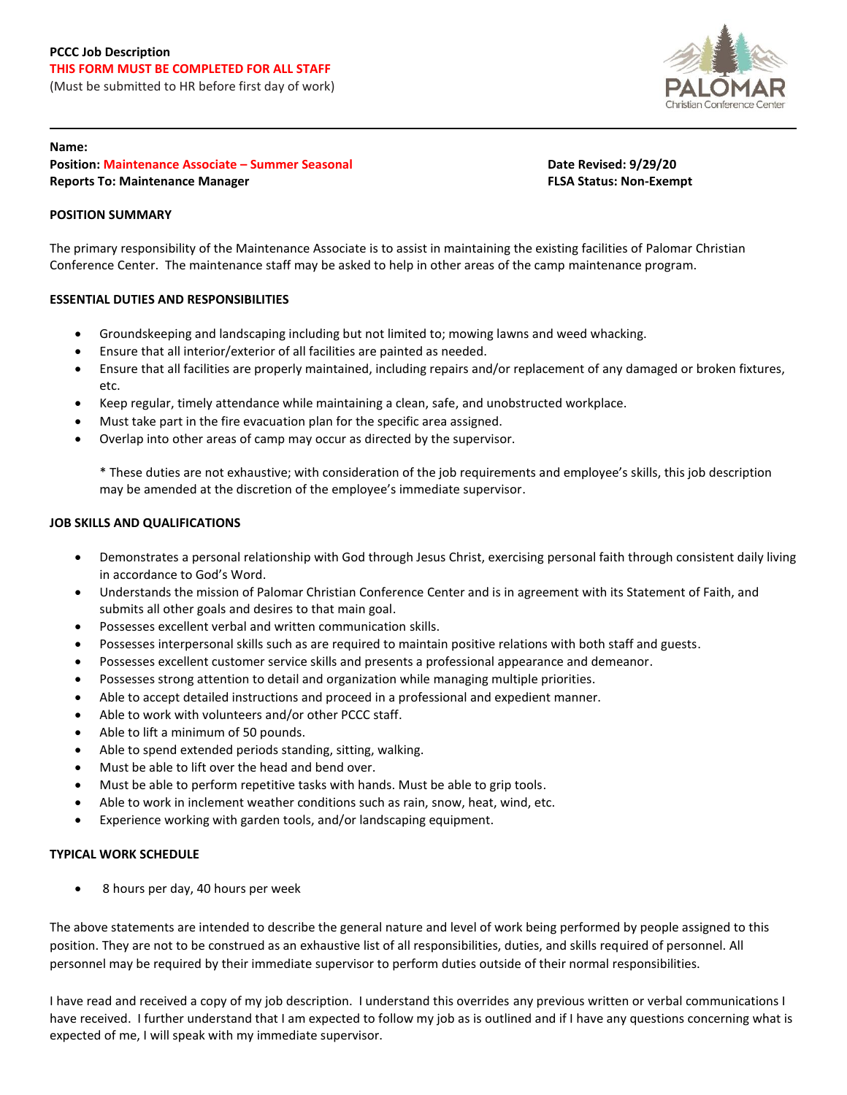

### **Name:**

**Position: Maintenance Associate – Summer Seasonal Date Revised: 9/29/20 Reports To: Maintenance Manager FLSA Status: Non-Exempt**

# **POSITION SUMMARY**

The primary responsibility of the Maintenance Associate is to assist in maintaining the existing facilities of Palomar Christian Conference Center. The maintenance staff may be asked to help in other areas of the camp maintenance program.

# **ESSENTIAL DUTIES AND RESPONSIBILITIES**

- Groundskeeping and landscaping including but not limited to; mowing lawns and weed whacking.
- Ensure that all interior/exterior of all facilities are painted as needed.
- Ensure that all facilities are properly maintained, including repairs and/or replacement of any damaged or broken fixtures, etc.
- Keep regular, timely attendance while maintaining a clean, safe, and unobstructed workplace.
- Must take part in the fire evacuation plan for the specific area assigned.
- Overlap into other areas of camp may occur as directed by the supervisor.

\* These duties are not exhaustive; with consideration of the job requirements and employee's skills, this job description may be amended at the discretion of the employee's immediate supervisor.

## **JOB SKILLS AND QUALIFICATIONS**

- Demonstrates a personal relationship with God through Jesus Christ, exercising personal faith through consistent daily living in accordance to God's Word.
- Understands the mission of Palomar Christian Conference Center and is in agreement with its Statement of Faith, and submits all other goals and desires to that main goal.
- Possesses excellent verbal and written communication skills.
- Possesses interpersonal skills such as are required to maintain positive relations with both staff and guests.
- Possesses excellent customer service skills and presents a professional appearance and demeanor.
- Possesses strong attention to detail and organization while managing multiple priorities.
- Able to accept detailed instructions and proceed in a professional and expedient manner.
- Able to work with volunteers and/or other PCCC staff.
- Able to lift a minimum of 50 pounds.
- Able to spend extended periods standing, sitting, walking.
- Must be able to lift over the head and bend over.
- Must be able to perform repetitive tasks with hands. Must be able to grip tools.
- Able to work in inclement weather conditions such as rain, snow, heat, wind, etc.
- Experience working with garden tools, and/or landscaping equipment.

## **TYPICAL WORK SCHEDULE**

• 8 hours per day, 40 hours per week

The above statements are intended to describe the general nature and level of work being performed by people assigned to this position. They are not to be construed as an exhaustive list of all responsibilities, duties, and skills required of personnel. All personnel may be required by their immediate supervisor to perform duties outside of their normal responsibilities.

I have read and received a copy of my job description. I understand this overrides any previous written or verbal communications I have received. I further understand that I am expected to follow my job as is outlined and if I have any questions concerning what is expected of me, I will speak with my immediate supervisor.